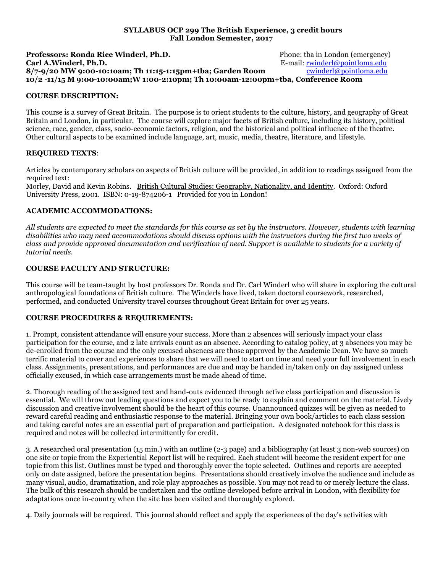### **SYLLABUS OCP 299 The British Experience, 3 credit hours Fall London Semester, 2017**

**Professors: Ronda Rice Winderl, Ph.D.** Phone: the in London (emergency) **Carl A.Winderl, Ph.D. Carl A.Winderl, Ph.D. E.mail: <u>rwinderl@pointloma.edu</u><br>8/7-9/20 MW 9:00-10:10am; Th 11:15-1:15pm+tba; Garden Room** *cwinderl@pointloma.edu* 8/7-9/20 MW 9:00-10:10am; Th 11:15-1:15pm+tba; Garden Room **10/2 -11/15 M 9:00-10:00am;W 1:00-2:10pm; Th 10:00am-12:00pm+tba, Conference Room**

## **COURSE DESCRIPTION:**

This course is a survey of Great Britain. The purpose is to orient students to the culture, history, and geography of Great Britain and London, in particular. The course will explore major facets of British culture, including its history, political science, race, gender, class, socio-economic factors, religion, and the historical and political influence of the theatre. Other cultural aspects to be examined include language, art, music, media, theatre, literature, and lifestyle.

## **REQUIRED TEXTS**:

Articles by contemporary scholars on aspects of British culture will be provided, in addition to readings assigned from the required text:

Morley, David and Kevin Robins. British Cultural Studies: Geography, Nationality, and Identity. Oxford: Oxford University Press, 2001. ISBN: 0-19-874206-1 Provided for you in London!

## **ACADEMIC ACCOMMODATIONS:**

*All students are expected to meet the standards for this course as set by the instructors. However, students with learning disabilities who may need accommodations should discuss options with the instructors during the first two weeks of class and provide approved documentation and verification of need. Support is available to students for a variety of tutorial needs.*

## **COURSE FACULTY AND STRUCTURE:**

This course will be team-taught by host professors Dr. Ronda and Dr. Carl Winderl who will share in exploring the cultural anthropological foundations of British culture. The Winderls have lived, taken doctoral coursework, researched, performed, and conducted University travel courses throughout Great Britain for over 25 years.

### **COURSE PROCEDURES & REQUIREMENTS:**

1. Prompt, consistent attendance will ensure your success. More than 2 absences will seriously impact your class participation for the course, and 2 late arrivals count as an absence. According to catalog policy, at 3 absences you may be de-enrolled from the course and the only excused absences are those approved by the Academic Dean. We have so much terrific material to cover and experiences to share that we will need to start on time and need your full involvement in each class. Assignments, presentations, and performances are due and may be handed in/taken only on day assigned unless officially excused, in which case arrangements must be made ahead of time.

2. Thorough reading of the assigned text and hand-outs evidenced through active class participation and discussion is essential. We will throw out leading questions and expect you to be ready to explain and comment on the material. Lively discussion and creative involvement should be the heart of this course. Unannounced quizzes will be given as needed to reward careful reading and enthusiastic response to the material. Bringing your own book/articles to each class session and taking careful notes are an essential part of preparation and participation. A designated notebook for this class is required and notes will be collected intermittently for credit.

3. A researched oral presentation (15 min.) with an outline (2-3 page) and a bibliography (at least 3 non-web sources) on one site or topic from the Experiential Report list will be required. Each student will become the resident expert for one topic from this list. Outlines must be typed and thoroughly cover the topic selected. Outlines and reports are accepted only on date assigned, before the presentation begins. Presentations should creatively involve the audience and include as many visual, audio, dramatization, and role play approaches as possible. You may not read to or merely lecture the class. The bulk of this research should be undertaken and the outline developed before arrival in London, with flexibility for adaptations once in-country when the site has been visited and thoroughly explored.

4. Daily journals will be required. This journal should reflect and apply the experiences of the day's activities with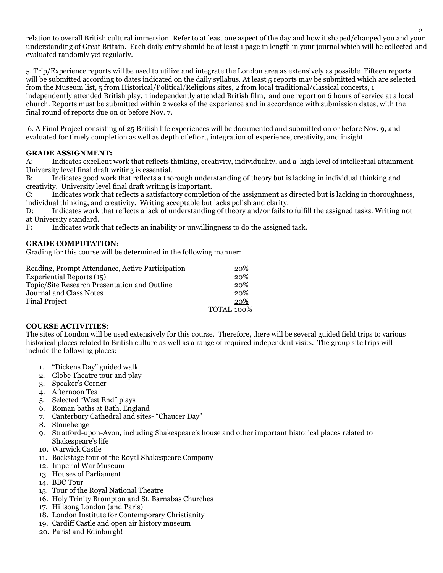relation to overall British cultural immersion. Refer to at least one aspect of the day and how it shaped/changed you and your understanding of Great Britain. Each daily entry should be at least 1 page in length in your journal which will be collected and evaluated randomly yet regularly.

5. Trip/Experience reports will be used to utilize and integrate the London area as extensively as possible. Fifteen reports will be submitted according to dates indicated on the daily syllabus. At least 5 reports may be submitted which are selected from the Museum list, 5 from Historical/Political/Religious sites, 2 from local traditional/classical concerts, 1 independently attended British play, 1 independently attended British film, and one report on 6 hours of service at a local church. Reports must be submitted within 2 weeks of the experience and in accordance with submission dates, with the final round of reports due on or before Nov. 7.

6. A Final Project consisting of 25 British life experiences will be documented and submitted on or before Nov. 9, and evaluated for timely completion as well as depth of effort, integration of experience, creativity, and insight.

## **GRADE ASSIGNMENT:**

A: Indicates excellent work that reflects thinking, creativity, individuality, and a high level of intellectual attainment. University level final draft writing is essential.

B: Indicates good work that reflects a thorough understanding of theory but is lacking in individual thinking and creativity. University level final draft writing is important.

C: Indicates work that reflects a satisfactory completion of the assignment as directed but is lacking in thoroughness, individual thinking, and creativity. Writing acceptable but lacks polish and clarity.

D: Indicates work that reflects a lack of understanding of theory and/or fails to fulfill the assigned tasks. Writing not at University standard.

F: Indicates work that reflects an inability or unwillingness to do the assigned task.

## **GRADE COMPUTATION:**

Grading for this course will be determined in the following manner:

| Reading, Prompt Attendance, Active Participation | 20%        |
|--------------------------------------------------|------------|
| Experiential Reports (15)                        | 20%        |
| Topic/Site Research Presentation and Outline     | 20%        |
| <b>Journal and Class Notes</b>                   | 20%        |
| <b>Final Project</b>                             | 20%        |
|                                                  | TOTAL 100% |

## **COURSE ACTIVITIES**:

The sites of London will be used extensively for this course. Therefore, there will be several guided field trips to various historical places related to British culture as well as a range of required independent visits. The group site trips will include the following places:

- 1. "Dickens Day" guided walk
- 2. Globe Theatre tour and play
- 3. Speaker's Corner
- 4. Afternoon Tea
- 5. Selected "West End" plays
- 6. Roman baths at Bath, England
- 7. Canterbury Cathedral and sites- "Chaucer Day"
- 8. Stonehenge
- 9. Stratford-upon-Avon, including Shakespeare's house and other important historical places related to Shakespeare's life
- 10. Warwick Castle
- 11. Backstage tour of the Royal Shakespeare Company
- 12. Imperial War Museum
- 13. Houses of Parliament
- 14. BBC Tour
- 15. Tour of the Royal National Theatre
- 16. Holy Trinity Brompton and St. Barnabas Churches
- 17. Hillsong London (and Paris)
- 18. London Institute for Contemporary Christianity
- 19. Cardiff Castle and open air history museum
- 20. Paris! and Edinburgh!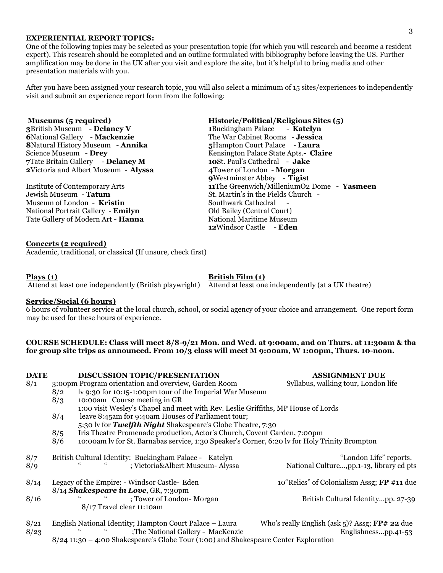#### **EXPERIENTIAL REPORT TOPICS:**

One of the following topics may be selected as your presentation topic (for which you will research and become a resident expert). This research should be completed and an outline formulated with bibliography before leaving the US. Further amplification may be done in the UK after you visit and explore the site, but it's helpful to bring media and other presentation materials with you.

After you have been assigned your research topic, you will also select a minimum of 15 sites/experiences to independently visit and submit an experience report form from the following:

### **Museums (5 required) Historic/Political/Religious Sites (5)**

British Museum **- Delaney V 1**Buckingham Palace - **Katelyn** National Gallery - **Mackenzie** The War Cabinet Rooms - **Jessica** Natural History Museum - **Annika 5**Hampton Court Palace - **Laura** Science Museum - **Drey** Kensington Palace State Apts.**- Claire** Tate Britain Gallery - **Delaney M 10**St. Paul's Cathedral - **Jake** Victoria and Albert Museum - **Alyssa 4**Tower of London - **Morgan**

Jewish Museum - **Tatum** St. Martin's in the Fields Church -Museum of London - **Kristin** Southwark Cathedral National Portrait Gallery - **Emilyn** Old Bailey (Central Court) Tate Gallery of Modern Art - **Hanna** National Maritime Museum

### **Concerts (2 required)**

Academic, traditional, or classical (If unsure, check first)

**Plays (1) British Film (1) British Film (1)** 

Attend at least one independently (British playwright) Attend at least one independently (at a UK theatre)

#### **Service/Social (6 hours)**

6 hours of volunteer service at the local church, school, or social agency of your choice and arrangement. One report form may be used for these hours of experience.

### **COURSE SCHEDULE: Class will meet 8/8-9/21 Mon. and Wed. at 9:00am, and on Thurs. at 11:30am & tba for group site trips as announced. From 10/3 class will meet M 9:00am, W 1:00pm, Thurs. 10-noon.**

| <b>DATE</b> |                                                                                   | <b>DISCUSSION TOPIC/PRESENTATION</b>                                                          | <b>ASSIGNMENT DUE</b>                          |  |  |  |  |  |
|-------------|-----------------------------------------------------------------------------------|-----------------------------------------------------------------------------------------------|------------------------------------------------|--|--|--|--|--|
| 8/1         |                                                                                   | 3:00pm Program orientation and overview, Garden Room                                          | Syllabus, walking tour, London life            |  |  |  |  |  |
|             | 8/2                                                                               | lv 9:30 for 10:15-1:00pm tour of the Imperial War Museum                                      |                                                |  |  |  |  |  |
|             | 10:00am Course meeting in GR<br>8/3                                               |                                                                                               |                                                |  |  |  |  |  |
|             | 1:00 visit Wesley's Chapel and meet with Rev. Leslie Griffiths, MP House of Lords |                                                                                               |                                                |  |  |  |  |  |
|             | 8/4                                                                               | leave 8:45am for 9:40am Houses of Parliament tour;                                            |                                                |  |  |  |  |  |
|             |                                                                                   | 5:30 lv for Twelfth Night Shakespeare's Globe Theatre, 7:30                                   |                                                |  |  |  |  |  |
|             | 8/5                                                                               | Iris Theatre Promenade production, Actor's Church, Covent Garden, 7:00pm                      |                                                |  |  |  |  |  |
|             | 8/6                                                                               | 10:00am ly for St. Barnabas service, 1:30 Speaker's Corner, 6:20 ly for Holy Trinity Brompton |                                                |  |  |  |  |  |
| 8/7         |                                                                                   | British Cultural Identity: Buckingham Palace - Katelyn                                        | "London Life" reports.                         |  |  |  |  |  |
| 8/9         |                                                                                   | ; Victoria&Albert Museum- Alyssa                                                              | National Culture,pp.1-13, library cd pts       |  |  |  |  |  |
| 8/14        |                                                                                   | Legacy of the Empire: - Windsor Castle- Eden                                                  | 10"Relics" of Colonialism Assg; FP #11 due     |  |  |  |  |  |
|             |                                                                                   | 8/14 Shakespeare in Love, GR, 7:30pm                                                          |                                                |  |  |  |  |  |
| 8/16        |                                                                                   | ; Tower of London-Morgan                                                                      | British Cultural Identitypp. 27-39             |  |  |  |  |  |
|             |                                                                                   | 8/17 Travel clear 11:10am                                                                     |                                                |  |  |  |  |  |
| 8/21        |                                                                                   | English National Identity; Hampton Court Palace - Laura                                       | Who's really English (ask 5)? Assg; FP# 22 due |  |  |  |  |  |
| 8/23        |                                                                                   | ;The National Gallery - MacKenzie                                                             | Englishnesspp.41-53                            |  |  |  |  |  |

8/24 11:30 – 4:00 Shakespeare's Globe Tour (1:00) and Shakespeare Center Exploration

**9**Westminster Abbey - **Tigist** Institute of Contemporary Arts **11**The Greenwich/MilleniumO2 Dome **- Yasmeen 12**Windsor Castle - **Eden**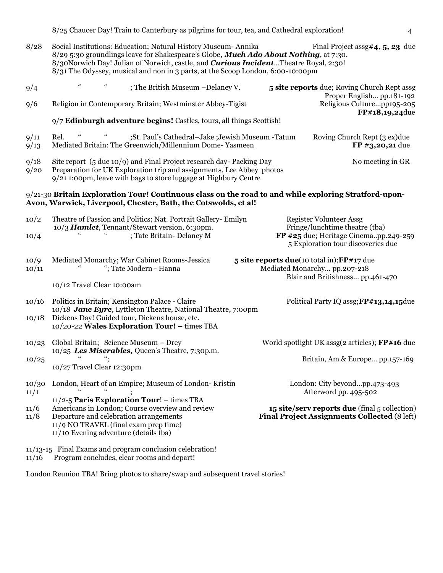8/25 Chaucer Day! Train to Canterbury as pilgrims for tour, tea, and Cathedral exploration! 4

8/28 Social Institutions: Education; Natural History Museum- Annika Final Project assg#4, 5, 23 due 8/29 5:30 groundlings leave for Shakespeare's Globe*, Much Ado About Nothing*, at 7:30. 8/30Norwich Day! Julian of Norwich, castle, and *Curious Incident*…Theatre Royal, 2:30! 8/31 The Odyssey, musical and non in 3 parts, at the Scoop London, 6:00-10:00pm

| 9/4           | $\epsilon$                                                                                                                                                                                                                | $\zeta\zeta$ | ; The British Museum -Delaney V.                                                                                                                                                                                 |                                                                                               |                                 | 5 site reports due; Roving Church Rept assg                                                                    |  |  |
|---------------|---------------------------------------------------------------------------------------------------------------------------------------------------------------------------------------------------------------------------|--------------|------------------------------------------------------------------------------------------------------------------------------------------------------------------------------------------------------------------|-----------------------------------------------------------------------------------------------|---------------------------------|----------------------------------------------------------------------------------------------------------------|--|--|
| 9/6           |                                                                                                                                                                                                                           |              | Religion in Contemporary Britain; Westminster Abbey-Tigist                                                                                                                                                       |                                                                                               |                                 | Proper English pp.181-192<br>Religious Culturepp195-205<br>FP#18,19,24due                                      |  |  |
|               |                                                                                                                                                                                                                           |              | 9/7 Edinburgh adventure begins! Castles, tours, all things Scottish!                                                                                                                                             |                                                                                               |                                 |                                                                                                                |  |  |
| 9/11<br>9/13  | Rel.                                                                                                                                                                                                                      |              | ;St. Paul's Cathedral-Jake ;Jewish Museum -Tatum<br>Mediated Britain: The Greenwich/Millennium Dome-Yasmeen                                                                                                      |                                                                                               |                                 | Roving Church Rept (3 ex)due<br>FP #3,20,21 due                                                                |  |  |
| 9/18<br>9/20  |                                                                                                                                                                                                                           |              | Site report (5 due 10/9) and Final Project research day-Packing Day<br>Preparation for UK Exploration trip and assignments, Lee Abbey photos<br>9/21 1:00pm, leave with bags to store luggage at Highbury Centre |                                                                                               |                                 | No meeting in GR                                                                                               |  |  |
|               |                                                                                                                                                                                                                           |              | $9/21$ -30 Britain Exploration Tour! Continuous class on the road to and while exploring Stratford-upon-<br>Avon, Warwick, Liverpool, Chester, Bath, the Cotswolds, et al!                                       |                                                                                               |                                 |                                                                                                                |  |  |
| 10/2          |                                                                                                                                                                                                                           |              | Theatre of Passion and Politics; Nat. Portrait Gallery- Emilyn                                                                                                                                                   |                                                                                               |                                 | <b>Register Volunteer Assg</b>                                                                                 |  |  |
| 10/4          |                                                                                                                                                                                                                           |              | ; Tate Britain- Delaney M                                                                                                                                                                                        | 10/3 Hamlet, Tennant/Stewart version, 6:30pm.                                                 |                                 | Fringe/lunchtime theatre (tba)<br>FP #25 due; Heritage Cinemapp.249-259<br>5 Exploration tour discoveries due  |  |  |
| 10/9<br>10/11 |                                                                                                                                                                                                                           |              | Mediated Monarchy; War Cabinet Rooms-Jessica<br>"; Tate Modern - Hanna                                                                                                                                           |                                                                                               |                                 | 5 site reports due(10 total in); FP#17 due<br>Mediated Monarchy pp.207-218<br>Blair and Britishness pp.461-470 |  |  |
|               | 10/12 Travel Clear 10:00am                                                                                                                                                                                                |              |                                                                                                                                                                                                                  |                                                                                               |                                 |                                                                                                                |  |  |
| 10/16         |                                                                                                                                                                                                                           |              | Politics in Britain; Kensington Palace - Claire<br>10/18 Jane Eyre, Lyttleton Theatre, National Theatre, 7:00pm                                                                                                  |                                                                                               |                                 | Political Party IQ assg; FP#13,14,15due                                                                        |  |  |
| 10/18         |                                                                                                                                                                                                                           |              | Dickens Day! Guided tour, Dickens house, etc.<br>10/20-22 Wales Exploration Tour! - times TBA                                                                                                                    |                                                                                               |                                 |                                                                                                                |  |  |
| 10/23         |                                                                                                                                                                                                                           |              | Global Britain; Science Museum - Drey<br>10/25 Les Miserables, Queen's Theatre, 7:30p.m.                                                                                                                         |                                                                                               |                                 | World spotlight UK assg(2 articles); FP#16 due                                                                 |  |  |
| 10/25         | 10/27 Travel Clear 12:30pm                                                                                                                                                                                                |              |                                                                                                                                                                                                                  |                                                                                               | Britain, Am & Europe pp.157-169 |                                                                                                                |  |  |
| 10/30<br>11/1 |                                                                                                                                                                                                                           |              | London, Heart of an Empire; Museum of London-Kristin                                                                                                                                                             |                                                                                               |                                 | London: City beyondpp.473-493<br>Afterword pp. 495-502                                                         |  |  |
| 11/6<br>11/8  | 11/2-5 Paris Exploration Tour! - times TBA<br>Americans in London; Course overview and review<br>Departure and celebration arrangements<br>11/9 NO TRAVEL (final exam prep time)<br>11/10 Evening adventure (details tba) |              |                                                                                                                                                                                                                  | 15 site/serv reports due (final 5 collection)<br>Final Project Assignments Collected (8 left) |                                 |                                                                                                                |  |  |
|               |                                                                                                                                                                                                                           |              | 11/13-15 Final Exams and program conclusion celebration!                                                                                                                                                         |                                                                                               |                                 |                                                                                                                |  |  |

11/16 Program concludes, clear rooms and depart!

London Reunion TBA! Bring photos to share/swap and subsequent travel stories!